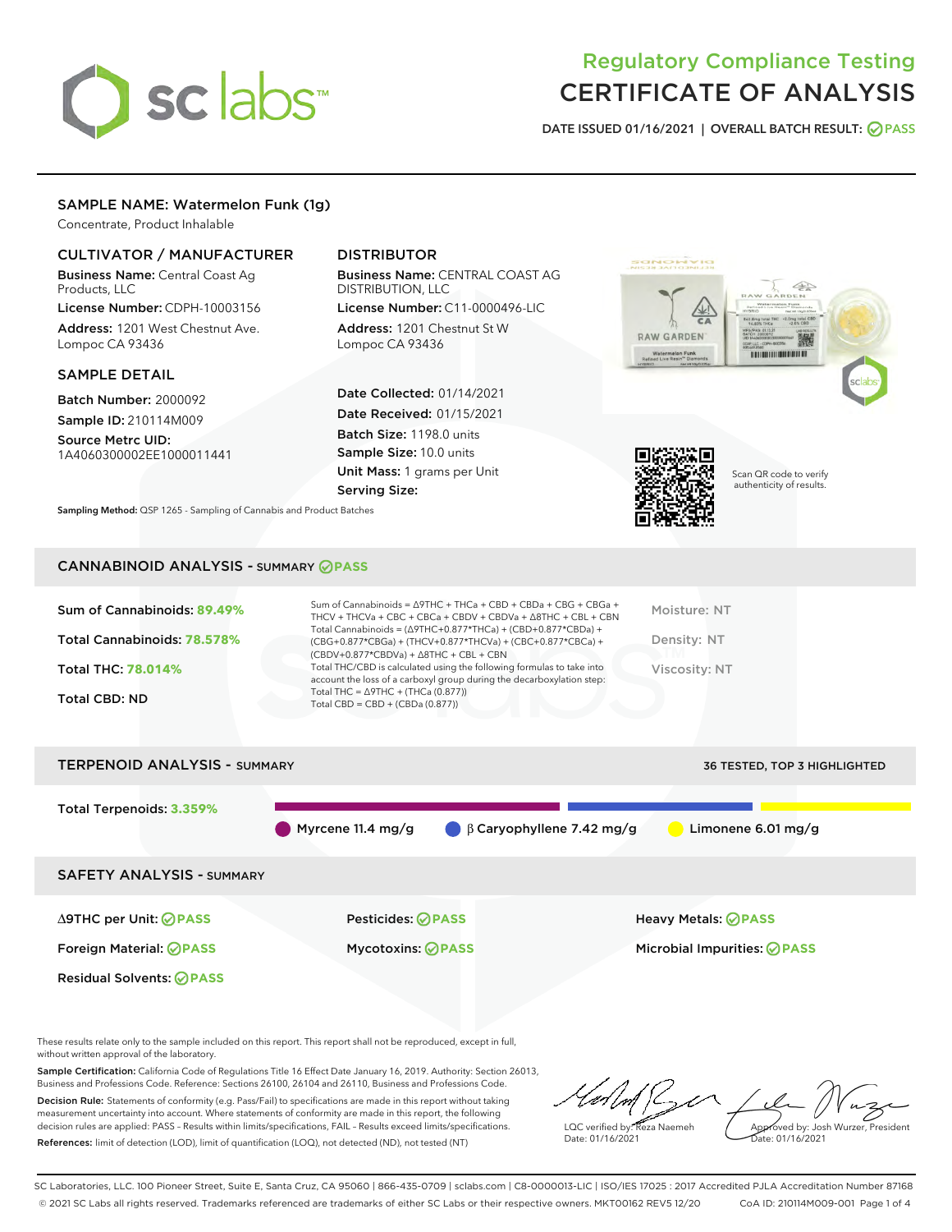# sclabs

# Regulatory Compliance Testing CERTIFICATE OF ANALYSIS

DATE ISSUED 01/16/2021 | OVERALL BATCH RESULT: @ PASS

# SAMPLE NAME: Watermelon Funk (1g)

Concentrate, Product Inhalable

# CULTIVATOR / MANUFACTURER

Business Name: Central Coast Ag Products, LLC

License Number: CDPH-10003156 Address: 1201 West Chestnut Ave. Lompoc CA 93436

#### SAMPLE DETAIL

Batch Number: 2000092 Sample ID: 210114M009

Source Metrc UID: 1A4060300002EE1000011441

# DISTRIBUTOR

Business Name: CENTRAL COAST AG DISTRIBUTION, LLC

License Number: C11-0000496-LIC Address: 1201 Chestnut St W Lompoc CA 93436

Date Collected: 01/14/2021 Date Received: 01/15/2021 Batch Size: 1198.0 units Sample Size: 10.0 units Unit Mass: 1 grams per Unit Serving Size:





Scan QR code to verify authenticity of results.

Sampling Method: QSP 1265 - Sampling of Cannabis and Product Batches

# CANNABINOID ANALYSIS - SUMMARY **PASS**

| Sum of Cannabinoids: 89.49%<br>Total Cannabinoids: 78.578% | Sum of Cannabinoids = $\triangle$ 9THC + THCa + CBD + CBDa + CBG + CBGa +<br>THCV + THCVa + CBC + CBCa + CBDV + CBDVa + $\Delta$ 8THC + CBL + CBN<br>Total Cannabinoids = $(\Delta$ 9THC+0.877*THCa) + (CBD+0.877*CBDa) +<br>(CBG+0.877*CBGa) + (THCV+0.877*THCVa) + (CBC+0.877*CBCa) +<br>$(CBDV+0.877*CBDVa) + \Delta 8THC + CBL + CBN$ | Moisture: NT<br>Density: NT |
|------------------------------------------------------------|-------------------------------------------------------------------------------------------------------------------------------------------------------------------------------------------------------------------------------------------------------------------------------------------------------------------------------------------|-----------------------------|
| <b>Total THC: 78.014%</b>                                  | Total THC/CBD is calculated using the following formulas to take into<br>account the loss of a carboxyl group during the decarboxylation step:                                                                                                                                                                                            | Viscosity: NT               |
| <b>Total CBD: ND</b>                                       | Total THC = $\triangle$ 9THC + (THCa (0.877))<br>Total CBD = CBD + (CBDa $(0.877)$ )                                                                                                                                                                                                                                                      |                             |



These results relate only to the sample included on this report. This report shall not be reproduced, except in full, without written approval of the laboratory.

Sample Certification: California Code of Regulations Title 16 Effect Date January 16, 2019. Authority: Section 26013, Business and Professions Code. Reference: Sections 26100, 26104 and 26110, Business and Professions Code.

Decision Rule: Statements of conformity (e.g. Pass/Fail) to specifications are made in this report without taking measurement uncertainty into account. Where statements of conformity are made in this report, the following decision rules are applied: PASS – Results within limits/specifications, FAIL – Results exceed limits/specifications. References: limit of detection (LOD), limit of quantification (LOQ), not detected (ND), not tested (NT)

LQC verified by: Reza Naemeh Date: 01/16/2021 Approved by: Josh Wurzer, President Date: 01/16/2021

SC Laboratories, LLC. 100 Pioneer Street, Suite E, Santa Cruz, CA 95060 | 866-435-0709 | sclabs.com | C8-0000013-LIC | ISO/IES 17025 : 2017 Accredited PJLA Accreditation Number 87168 © 2021 SC Labs all rights reserved. Trademarks referenced are trademarks of either SC Labs or their respective owners. MKT00162 REV5 12/20 CoA ID: 210114M009-001 Page 1 of 4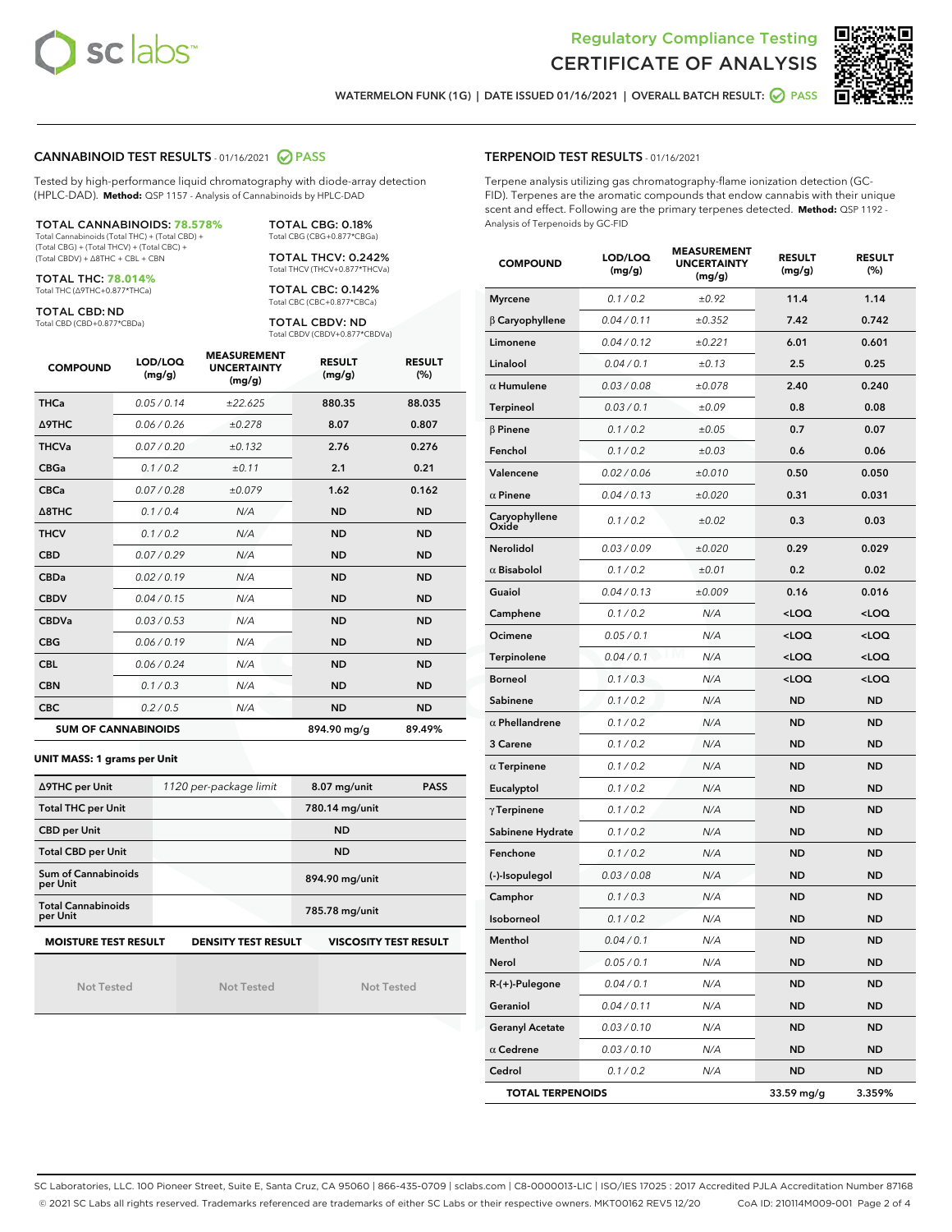



WATERMELON FUNK (1G) | DATE ISSUED 01/16/2021 | OVERALL BATCH RESULT: @ PASS

#### CANNABINOID TEST RESULTS - 01/16/2021 2 PASS

Tested by high-performance liquid chromatography with diode-array detection (HPLC-DAD). **Method:** QSP 1157 - Analysis of Cannabinoids by HPLC-DAD

#### TOTAL CANNABINOIDS: **78.578%**

Total Cannabinoids (Total THC) + (Total CBD) + (Total CBG) + (Total THCV) + (Total CBC) + (Total CBDV) + ∆8THC + CBL + CBN

TOTAL THC: **78.014%** Total THC (∆9THC+0.877\*THCa)

TOTAL CBD: ND

Total CBD (CBD+0.877\*CBDa)

TOTAL CBG: 0.18% Total CBG (CBG+0.877\*CBGa) TOTAL THCV: 0.242%

Total THCV (THCV+0.877\*THCVa)

TOTAL CBC: 0.142% Total CBC (CBC+0.877\*CBCa)

TOTAL CBDV: ND Total CBDV (CBDV+0.877\*CBDVa)

| <b>COMPOUND</b>            | LOD/LOQ<br>(mg/g) | <b>MEASUREMENT</b><br><b>UNCERTAINTY</b><br>(mg/g) | <b>RESULT</b><br>(mg/g) | <b>RESULT</b><br>(%) |
|----------------------------|-------------------|----------------------------------------------------|-------------------------|----------------------|
| <b>THCa</b>                | 0.05/0.14         | ±22.625                                            | 880.35                  | 88.035               |
| <b>A9THC</b>               | 0.06 / 0.26       | ±0.278                                             | 8.07                    | 0.807                |
| <b>THCVa</b>               | 0.07 / 0.20       | ±0.132                                             | 2.76                    | 0.276                |
| <b>CBGa</b>                | 0.1/0.2           | ±0.11                                              | 2.1                     | 0.21                 |
| <b>CBCa</b>                | 0.07/0.28         | ±0.079                                             | 1.62                    | 0.162                |
| $\triangle$ 8THC           | 0.1/0.4           | N/A                                                | <b>ND</b>               | <b>ND</b>            |
| <b>THCV</b>                | 0.1 / 0.2         | N/A                                                | <b>ND</b>               | <b>ND</b>            |
| <b>CBD</b>                 | 0.07/0.29         | N/A                                                | <b>ND</b>               | <b>ND</b>            |
| <b>CBDa</b>                | 0.02/0.19         | N/A                                                | <b>ND</b>               | <b>ND</b>            |
| <b>CBDV</b>                | 0.04 / 0.15       | N/A                                                | <b>ND</b>               | <b>ND</b>            |
| <b>CBDVa</b>               | 0.03/0.53         | N/A                                                | <b>ND</b>               | <b>ND</b>            |
| <b>CBG</b>                 | 0.06/0.19         | N/A                                                | <b>ND</b>               | <b>ND</b>            |
| <b>CBL</b>                 | 0.06 / 0.24       | N/A                                                | <b>ND</b>               | <b>ND</b>            |
| <b>CBN</b>                 | 0.1/0.3           | N/A                                                | <b>ND</b>               | <b>ND</b>            |
| <b>CBC</b>                 | 0.2 / 0.5         | N/A                                                | <b>ND</b>               | <b>ND</b>            |
| <b>SUM OF CANNABINOIDS</b> |                   |                                                    | 894.90 mg/g             | 89.49%               |

#### **UNIT MASS: 1 grams per Unit**

| ∆9THC per Unit                                                                            | 1120 per-package limit | 8.07 mg/unit<br><b>PASS</b> |  |  |  |
|-------------------------------------------------------------------------------------------|------------------------|-----------------------------|--|--|--|
| <b>Total THC per Unit</b>                                                                 |                        | 780.14 mg/unit              |  |  |  |
| <b>CBD per Unit</b>                                                                       |                        | <b>ND</b>                   |  |  |  |
| <b>Total CBD per Unit</b>                                                                 |                        | <b>ND</b>                   |  |  |  |
| Sum of Cannabinoids<br>per Unit                                                           |                        | 894.90 mg/unit              |  |  |  |
| <b>Total Cannabinoids</b><br>per Unit                                                     |                        | 785.78 mg/unit              |  |  |  |
| <b>MOISTURE TEST RESULT</b><br><b>VISCOSITY TEST RESULT</b><br><b>DENSITY TEST RESULT</b> |                        |                             |  |  |  |

Not Tested

Not Tested

Not Tested

#### TERPENOID TEST RESULTS - 01/16/2021

Terpene analysis utilizing gas chromatography-flame ionization detection (GC-FID). Terpenes are the aromatic compounds that endow cannabis with their unique scent and effect. Following are the primary terpenes detected. **Method:** QSP 1192 - Analysis of Terpenoids by GC-FID

| <b>COMPOUND</b>         | LOD/LOQ<br>(mg/g) | <b>MEASUREMENT</b><br><b>UNCERTAINTY</b><br>(mg/g) | <b>RESULT</b><br>(mg/g)                         | <b>RESULT</b><br>(%) |
|-------------------------|-------------------|----------------------------------------------------|-------------------------------------------------|----------------------|
| <b>Myrcene</b>          | 0.1 / 0.2         | ±0.92                                              | 11.4                                            | 1.14                 |
| $\beta$ Caryophyllene   | 0.04 / 0.11       | ±0.352                                             | 7.42                                            | 0.742                |
| Limonene                | 0.04 / 0.12       | ±0.221                                             | 6.01                                            | 0.601                |
| Linalool                | 0.04 / 0.1        | ±0.13                                              | 2.5                                             | 0.25                 |
| $\alpha$ Humulene       | 0.03 / 0.08       | ±0.078                                             | 2.40                                            | 0.240                |
| <b>Terpineol</b>        | 0.03 / 0.1        | ±0.09                                              | 0.8                                             | 0.08                 |
| $\beta$ Pinene          | 0.1 / 0.2         | ±0.05                                              | 0.7                                             | 0.07                 |
| Fenchol                 | 0.1 / 0.2         | ±0.03                                              | 0.6                                             | 0.06                 |
| Valencene               | 0.02 / 0.06       | ±0.010                                             | 0.50                                            | 0.050                |
| $\alpha$ Pinene         | 0.04 / 0.13       | ±0.020                                             | 0.31                                            | 0.031                |
| Caryophyllene<br>Oxide  | 0.1 / 0.2         | ±0.02                                              | 0.3                                             | 0.03                 |
| <b>Nerolidol</b>        | 0.03 / 0.09       | ±0.020                                             | 0.29                                            | 0.029                |
| $\alpha$ Bisabolol      | 0.1 / 0.2         | ±0.01                                              | 0.2                                             | 0.02                 |
| Guaiol                  | 0.04 / 0.13       | ±0.009                                             | 0.16                                            | 0.016                |
| Camphene                | 0.1 / 0.2         | N/A                                                | <loq< td=""><td><loq< td=""></loq<></td></loq<> | <loq< td=""></loq<>  |
| Ocimene                 | 0.05 / 0.1        | N/A                                                | 100                                             | <loq< td=""></loq<>  |
| Terpinolene             | 0.04 / 0.1        | N/A                                                | <loq< td=""><td><loq< td=""></loq<></td></loq<> | <loq< td=""></loq<>  |
| <b>Borneol</b>          | 0.1 / 0.3         | N/A                                                | <loq< td=""><td><loq< td=""></loq<></td></loq<> | <loq< td=""></loq<>  |
| Sabinene                | 0.1 / 0.2         | N/A                                                | <b>ND</b>                                       | <b>ND</b>            |
| $\alpha$ Phellandrene   | 0.1 / 0.2         | N/A                                                | <b>ND</b>                                       | ND                   |
| 3 Carene                | 0.1 / 0.2         | N/A                                                | <b>ND</b>                                       | ND                   |
| $\alpha$ Terpinene      | 0.1 / 0.2         | N/A                                                | <b>ND</b>                                       | ND                   |
| Eucalyptol              | 0.1 / 0.2         | N/A                                                | <b>ND</b>                                       | ND                   |
| $\gamma$ Terpinene      | 0.1 / 0.2         | N/A                                                | ND                                              | ND                   |
| Sabinene Hydrate        | 0.1 / 0.2         | N/A                                                | <b>ND</b>                                       | ND                   |
| Fenchone                | 0.1/0.2           | N/A                                                | <b>ND</b>                                       | ND                   |
| (-)-Isopulegol          | 0.03 / 0.08       | N/A                                                | ND                                              | ND                   |
| Camphor                 | 0.1 / 0.3         | N/A                                                | <b>ND</b>                                       | ND                   |
| Isoborneol              | 0.1 / 0.2         | N/A                                                | <b>ND</b>                                       | <b>ND</b>            |
| Menthol                 | 0.04 / 0.1        | N/A                                                | <b>ND</b>                                       | ND                   |
| Nerol                   | 0.05 / 0.1        | N/A                                                | ND                                              | ND                   |
| R-(+)-Pulegone          | 0.04 / 0.1        | N/A                                                | <b>ND</b>                                       | ND                   |
| Geraniol                | 0.04 / 0.11       | N/A                                                | ND                                              | ND                   |
| <b>Geranyl Acetate</b>  | 0.03 / 0.10       | N/A                                                | ND                                              | ND                   |
| $\alpha$ Cedrene        | 0.03 / 0.10       | N/A                                                | ND                                              | <b>ND</b>            |
| Cedrol                  | 0.1 / 0.2         | N/A                                                | ND                                              | ND                   |
| <b>TOTAL TERPENOIDS</b> |                   |                                                    | 33.59 mg/g                                      | 3.359%               |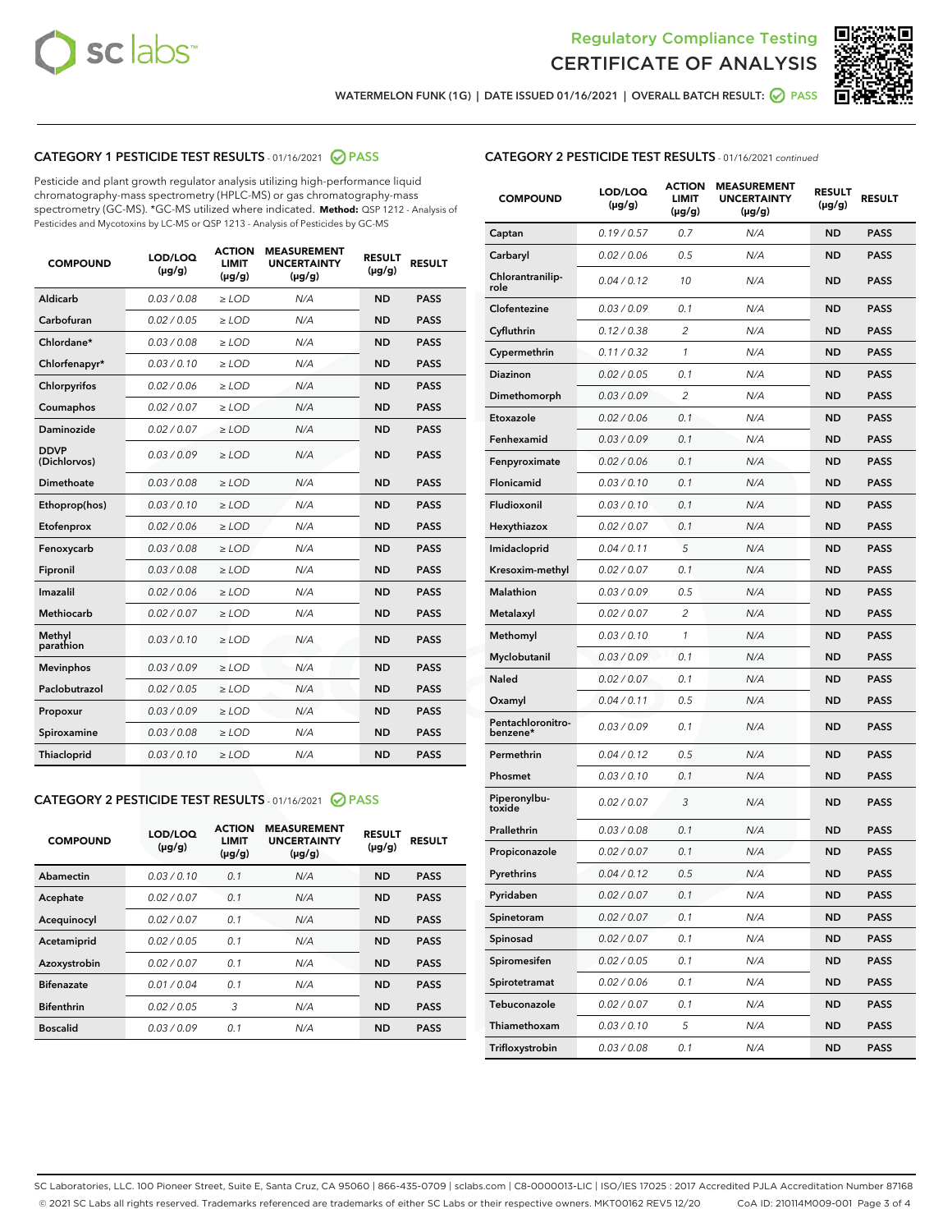



WATERMELON FUNK (1G) | DATE ISSUED 01/16/2021 | OVERALL BATCH RESULT: @ PASS

# CATEGORY 1 PESTICIDE TEST RESULTS - 01/16/2021 2 PASS

Pesticide and plant growth regulator analysis utilizing high-performance liquid chromatography-mass spectrometry (HPLC-MS) or gas chromatography-mass spectrometry (GC-MS). \*GC-MS utilized where indicated. **Method:** QSP 1212 - Analysis of Pesticides and Mycotoxins by LC-MS or QSP 1213 - Analysis of Pesticides by GC-MS

| <b>COMPOUND</b>             | LOD/LOQ<br>$(\mu g/g)$ | <b>ACTION</b><br><b>LIMIT</b><br>$(\mu q/q)$ | <b>MEASUREMENT</b><br><b>UNCERTAINTY</b><br>$(\mu g/g)$ | <b>RESULT</b><br>$(\mu g/g)$ | <b>RESULT</b> |
|-----------------------------|------------------------|----------------------------------------------|---------------------------------------------------------|------------------------------|---------------|
| Aldicarb                    | 0.03 / 0.08            | $\ge$ LOD                                    | N/A                                                     | <b>ND</b>                    | <b>PASS</b>   |
| Carbofuran                  | 0.02/0.05              | $>$ LOD                                      | N/A                                                     | <b>ND</b>                    | <b>PASS</b>   |
| Chlordane*                  | 0.03 / 0.08            | $\ge$ LOD                                    | N/A                                                     | <b>ND</b>                    | <b>PASS</b>   |
| Chlorfenapyr*               | 0.03/0.10              | $\ge$ LOD                                    | N/A                                                     | <b>ND</b>                    | <b>PASS</b>   |
| Chlorpyrifos                | 0.02 / 0.06            | $\ge$ LOD                                    | N/A                                                     | <b>ND</b>                    | <b>PASS</b>   |
| Coumaphos                   | 0.02 / 0.07            | $>$ LOD                                      | N/A                                                     | <b>ND</b>                    | <b>PASS</b>   |
| <b>Daminozide</b>           | 0.02 / 0.07            | $\ge$ LOD                                    | N/A                                                     | <b>ND</b>                    | <b>PASS</b>   |
| <b>DDVP</b><br>(Dichlorvos) | 0.03/0.09              | $\ge$ LOD                                    | N/A                                                     | <b>ND</b>                    | <b>PASS</b>   |
| <b>Dimethoate</b>           | 0.03 / 0.08            | $\ge$ LOD                                    | N/A                                                     | <b>ND</b>                    | <b>PASS</b>   |
| Ethoprop(hos)               | 0.03/0.10              | $\ge$ LOD                                    | N/A                                                     | <b>ND</b>                    | <b>PASS</b>   |
| Etofenprox                  | 0.02 / 0.06            | $\ge$ LOD                                    | N/A                                                     | <b>ND</b>                    | <b>PASS</b>   |
| Fenoxycarb                  | 0.03 / 0.08            | $\ge$ LOD                                    | N/A                                                     | <b>ND</b>                    | <b>PASS</b>   |
| Fipronil                    | 0.03/0.08              | $>$ LOD                                      | N/A                                                     | <b>ND</b>                    | <b>PASS</b>   |
| Imazalil                    | 0.02 / 0.06            | $\ge$ LOD                                    | N/A                                                     | <b>ND</b>                    | <b>PASS</b>   |
| Methiocarb                  | 0.02 / 0.07            | $\ge$ LOD                                    | N/A                                                     | <b>ND</b>                    | <b>PASS</b>   |
| Methyl<br>parathion         | 0.03/0.10              | $>$ LOD                                      | N/A                                                     | <b>ND</b>                    | <b>PASS</b>   |
| <b>Mevinphos</b>            | 0.03/0.09              | $>$ LOD                                      | N/A                                                     | <b>ND</b>                    | <b>PASS</b>   |
| Paclobutrazol               | 0.02 / 0.05            | $\ge$ LOD                                    | N/A                                                     | <b>ND</b>                    | <b>PASS</b>   |
| Propoxur                    | 0.03/0.09              | $\ge$ LOD                                    | N/A                                                     | <b>ND</b>                    | <b>PASS</b>   |
| Spiroxamine                 | 0.03 / 0.08            | $\ge$ LOD                                    | N/A                                                     | <b>ND</b>                    | <b>PASS</b>   |
| <b>Thiacloprid</b>          | 0.03/0.10              | $\ge$ LOD                                    | N/A                                                     | <b>ND</b>                    | <b>PASS</b>   |

# CATEGORY 2 PESTICIDE TEST RESULTS - 01/16/2021 @ PASS

| <b>COMPOUND</b>   | LOD/LOQ<br>$(\mu g/g)$ | <b>ACTION</b><br><b>LIMIT</b><br>$(\mu g/g)$ | <b>MEASUREMENT</b><br><b>UNCERTAINTY</b><br>$(\mu g/g)$ | <b>RESULT</b><br>$(\mu g/g)$ | <b>RESULT</b> |
|-------------------|------------------------|----------------------------------------------|---------------------------------------------------------|------------------------------|---------------|
| Abamectin         | 0.03/0.10              | 0.1                                          | N/A                                                     | <b>ND</b>                    | <b>PASS</b>   |
| Acephate          | 0.02/0.07              | 0.1                                          | N/A                                                     | <b>ND</b>                    | <b>PASS</b>   |
| Acequinocyl       | 0.02/0.07              | 0.1                                          | N/A                                                     | <b>ND</b>                    | <b>PASS</b>   |
| Acetamiprid       | 0.02/0.05              | 0.1                                          | N/A                                                     | <b>ND</b>                    | <b>PASS</b>   |
| Azoxystrobin      | 0.02/0.07              | 0.1                                          | N/A                                                     | <b>ND</b>                    | <b>PASS</b>   |
| <b>Bifenazate</b> | 0.01/0.04              | 0.1                                          | N/A                                                     | <b>ND</b>                    | <b>PASS</b>   |
| <b>Bifenthrin</b> | 0.02/0.05              | 3                                            | N/A                                                     | <b>ND</b>                    | <b>PASS</b>   |
| <b>Boscalid</b>   | 0.03/0.09              | 0.1                                          | N/A                                                     | <b>ND</b>                    | <b>PASS</b>   |

| <b>CATEGORY 2 PESTICIDE TEST RESULTS</b> - 01/16/2021 continued |
|-----------------------------------------------------------------|
|-----------------------------------------------------------------|

| <b>COMPOUND</b>               | LOD/LOQ<br>$(\mu g/g)$ | <b>ACTION</b><br>LIMIT<br>$(\mu g/g)$ | <b>MEASUREMENT</b><br><b>UNCERTAINTY</b><br>(µg/g) | <b>RESULT</b><br>(µg/g) | <b>RESULT</b> |
|-------------------------------|------------------------|---------------------------------------|----------------------------------------------------|-------------------------|---------------|
| Captan                        | 0.19/0.57              | 0.7                                   | N/A                                                | <b>ND</b>               | <b>PASS</b>   |
| Carbaryl                      | 0.02 / 0.06            | 0.5                                   | N/A                                                | ND                      | <b>PASS</b>   |
| Chlorantranilip-<br>role      | 0.04 / 0.12            | 10                                    | N/A                                                | ND                      | <b>PASS</b>   |
| Clofentezine                  | 0.03 / 0.09            | 0.1                                   | N/A                                                | <b>ND</b>               | <b>PASS</b>   |
| Cyfluthrin                    | 0.12 / 0.38            | $\overline{2}$                        | N/A                                                | ND                      | <b>PASS</b>   |
| Cypermethrin                  | 0.11 / 0.32            | 1                                     | N/A                                                | <b>ND</b>               | <b>PASS</b>   |
| <b>Diazinon</b>               | 0.02 / 0.05            | 0.1                                   | N/A                                                | <b>ND</b>               | <b>PASS</b>   |
| Dimethomorph                  | 0.03 / 0.09            | 2                                     | N/A                                                | ND                      | <b>PASS</b>   |
| Etoxazole                     | 0.02 / 0.06            | 0.1                                   | N/A                                                | <b>ND</b>               | <b>PASS</b>   |
| Fenhexamid                    | 0.03 / 0.09            | 0.1                                   | N/A                                                | <b>ND</b>               | <b>PASS</b>   |
| Fenpyroximate                 | 0.02 / 0.06            | 0.1                                   | N/A                                                | ND                      | PASS          |
| Flonicamid                    | 0.03/0.10              | 0.1                                   | N/A                                                | <b>ND</b>               | <b>PASS</b>   |
| Fludioxonil                   | 0.03 / 0.10            | 0.1                                   | N/A                                                | <b>ND</b>               | <b>PASS</b>   |
| Hexythiazox                   | 0.02 / 0.07            | 0.1                                   | N/A                                                | <b>ND</b>               | <b>PASS</b>   |
| Imidacloprid                  | 0.04 / 0.11            | 5                                     | N/A                                                | <b>ND</b>               | <b>PASS</b>   |
| Kresoxim-methyl               | 0.02 / 0.07            | 0.1                                   | N/A                                                | <b>ND</b>               | <b>PASS</b>   |
| <b>Malathion</b>              | 0.03 / 0.09            | 0.5                                   | N/A                                                | ND                      | <b>PASS</b>   |
| Metalaxyl                     | 0.02 / 0.07            | 2                                     | N/A                                                | <b>ND</b>               | <b>PASS</b>   |
| Methomyl                      | 0.03 / 0.10            | 1                                     | N/A                                                | <b>ND</b>               | <b>PASS</b>   |
| Myclobutanil                  | 0.03 / 0.09            | 0.1                                   | N/A                                                | <b>ND</b>               | <b>PASS</b>   |
| <b>Naled</b>                  | 0.02 / 0.07            | 0.1                                   | N/A                                                | <b>ND</b>               | <b>PASS</b>   |
| Oxamyl                        | 0.04 / 0.11            | 0.5                                   | N/A                                                | <b>ND</b>               | <b>PASS</b>   |
| Pentachloronitro-<br>benzene* | 0.03 / 0.09            | 0.1                                   | N/A                                                | <b>ND</b>               | <b>PASS</b>   |
| Permethrin                    | 0.04 / 0.12            | 0.5                                   | N/A                                                | <b>ND</b>               | <b>PASS</b>   |
| Phosmet                       | 0.03/0.10              | 0.1                                   | N/A                                                | ND                      | <b>PASS</b>   |
| Piperonylbu-<br>toxide        | 0.02 / 0.07            | 3                                     | N/A                                                | ND                      | <b>PASS</b>   |
| Prallethrin                   | 0.03 / 0.08            | 0.1                                   | N/A                                                | ND                      | <b>PASS</b>   |
| Propiconazole                 | 0.02 / 0.07            | 0.1                                   | N/A                                                | <b>ND</b>               | <b>PASS</b>   |
| Pyrethrins                    | 0.04 / 0.12            | 0.5                                   | N/A                                                | ND                      | PASS          |
| Pyridaben                     | 0.02 / 0.07            | 0.1                                   | N/A                                                | ND                      | <b>PASS</b>   |
| Spinetoram                    | 0.02 / 0.07            | 0.1                                   | N/A                                                | <b>ND</b>               | <b>PASS</b>   |
| Spinosad                      | 0.02 / 0.07            | 0.1                                   | N/A                                                | ND                      | <b>PASS</b>   |
| Spiromesifen                  | 0.02 / 0.05            | 0.1                                   | N/A                                                | ND                      | <b>PASS</b>   |
| Spirotetramat                 | 0.02 / 0.06            | 0.1                                   | N/A                                                | ND                      | <b>PASS</b>   |
| Tebuconazole                  | 0.02 / 0.07            | 0.1                                   | N/A                                                | ND                      | <b>PASS</b>   |
| Thiamethoxam                  | 0.03 / 0.10            | 5                                     | N/A                                                | ND                      | <b>PASS</b>   |
| Trifloxystrobin               | 0.03 / 0.08            | 0.1                                   | N/A                                                | ND                      | <b>PASS</b>   |